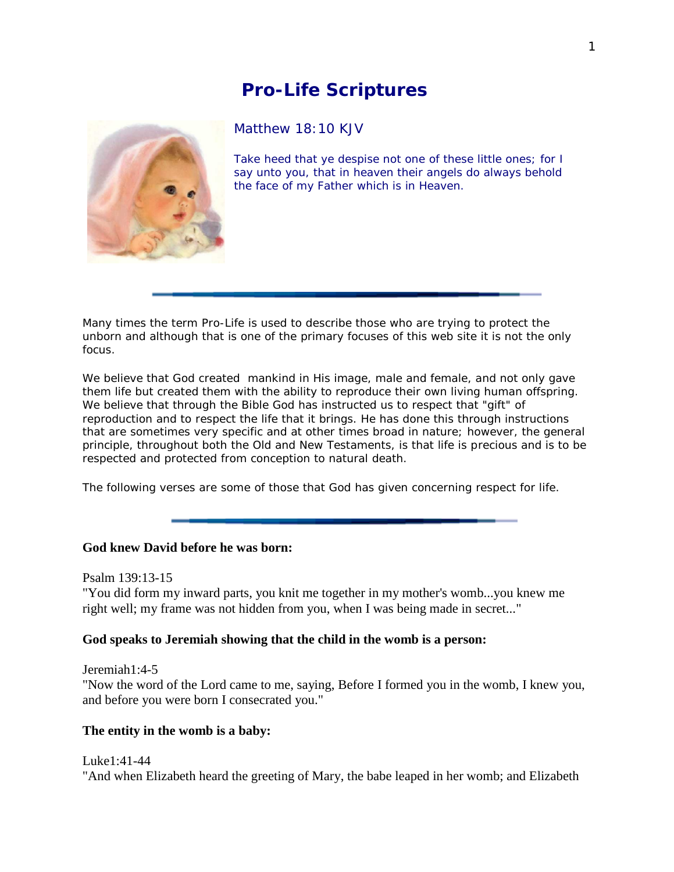# **Pro-Life Scriptures**



## Matthew 18:10 KJV

Take heed that ye despise not one of these little ones; for I say unto you, that in heaven their angels do always behold the face of my Father which is in Heaven.

Many times the term Pro-Life is used to describe those who are trying to protect the unborn and although that is one of the primary focuses of this web site it is not the only focus.

We believe that God created mankind in His image, male and female, and not only gave them life but created them with the ability to reproduce their own living human offspring. We believe that through the Bible God has instructed us to respect that "gift" of reproduction and to respect the life that it brings. He has done this through instructions that are sometimes very specific and at other times broad in nature; however, the general principle, throughout both the Old and New Testaments, is that life is precious and is to be respected and protected from conception to natural death.

The following verses are some of those that God has given concerning respect for life.

# **God knew David before he was born:**

Psalm 139:13-15

"You did form my inward parts, you knit me together in my mother's womb...you knew me right well; my frame was not hidden from you, when I was being made in secret..."

# **God speaks to Jeremiah showing that the child in the womb is a person:**

Jeremiah1:4-5

"Now the word of the Lord came to me, saying, Before I formed you in the womb, I knew you, and before you were born I consecrated you."

# **The entity in the womb is a baby:**

Luke1:41-44 "And when Elizabeth heard the greeting of Mary, the babe leaped in her womb; and Elizabeth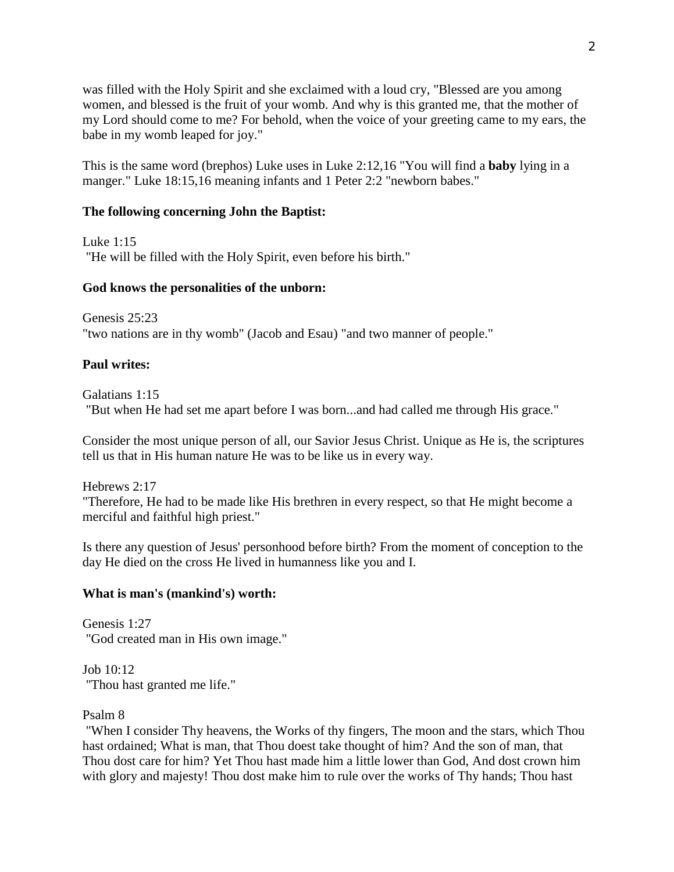was filled with the Holy Spirit and she exclaimed with a loud cry, "Blessed are you among women, and blessed is the fruit of your womb. And why is this granted me, that the mother of my Lord should come to me? For behold, when the voice of your greeting came to my ears, the babe in my womb leaped for joy."

This is the same word (brephos) Luke uses in Luke 2:12,16 "You will find a **baby** lying in a manger." Luke 18:15,16 meaning infants and 1 Peter 2:2 "newborn babes."

## **The following concerning John the Baptist:**

Luke 1:15

"He will be filled with the Holy Spirit, even before his birth."

# **God knows the personalities of the unborn:**

Genesis 25:23 "two nations are in thy womb" (Jacob and Esau) "and two manner of people."

## **Paul writes:**

Galatians 1:15 "But when He had set me apart before I was born...and had called me through His grace."

Consider the most unique person of all, our Savior Jesus Christ. Unique as He is, the scriptures tell us that in His human nature He was to be like us in every way.

Hebrews 2:17

"Therefore, He had to be made like His brethren in every respect, so that He might become a merciful and faithful high priest."

Is there any question of Jesus' personhood before birth? From the moment of conception to the day He died on the cross He lived in humanness like you and I.

### **What is man's (mankind's) worth:**

Genesis 1:27 "God created man in His own image."

Job 10:12 "Thou hast granted me life."

Psalm 8

"When I consider Thy heavens, the Works of thy fingers, The moon and the stars, which Thou hast ordained; What is man, that Thou doest take thought of him? And the son of man, that Thou dost care for him? Yet Thou hast made him a little lower than God, And dost crown him with glory and majesty! Thou dost make him to rule over the works of Thy hands; Thou hast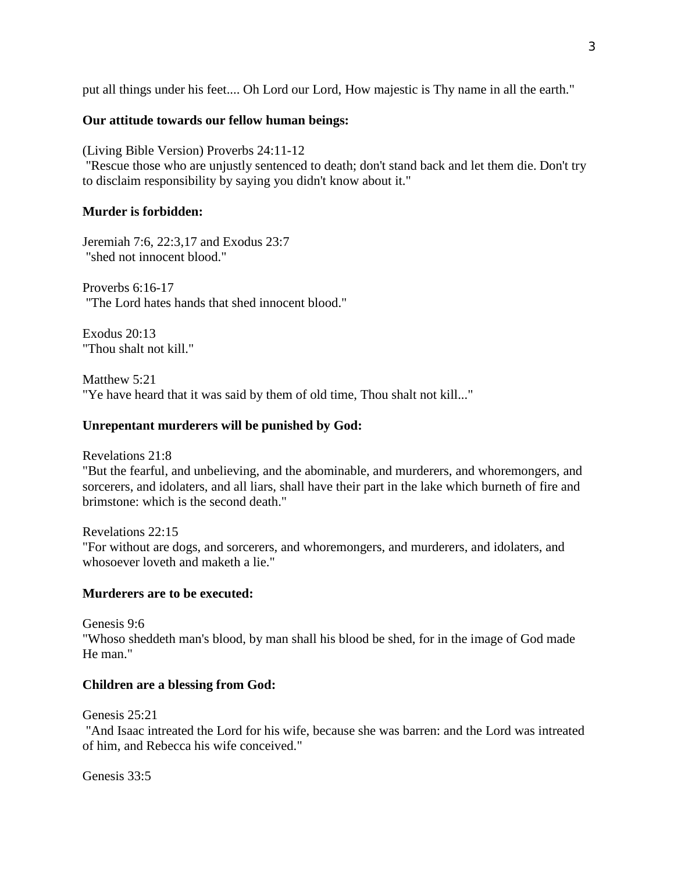put all things under his feet.... Oh Lord our Lord, How majestic is Thy name in all the earth."

# **Our attitude towards our fellow human beings:**

(Living Bible Version) Proverbs 24:11-12

"Rescue those who are unjustly sentenced to death; don't stand back and let them die. Don't try to disclaim responsibility by saying you didn't know about it."

# **Murder is forbidden:**

Jeremiah 7:6, 22:3,17 and Exodus 23:7 "shed not innocent blood."

Proverbs 6:16-17 "The Lord hates hands that shed innocent blood."

Exodus 20:13 "Thou shalt not kill."

Matthew 5:21 "Ye have heard that it was said by them of old time, Thou shalt not kill..."

# **Unrepentant murderers will be punished by God:**

Revelations 21:8

"But the fearful, and unbelieving, and the abominable, and murderers, and whoremongers, and sorcerers, and idolaters, and all liars, shall have their part in the lake which burneth of fire and brimstone: which is the second death."

Revelations 22:15 "For without are dogs, and sorcerers, and whoremongers, and murderers, and idolaters, and whosoever loveth and maketh a lie."

# **Murderers are to be executed:**

Genesis 9:6 "Whoso sheddeth man's blood, by man shall his blood be shed, for in the image of God made He man."

# **Children are a blessing from God:**

Genesis 25:21

"And Isaac intreated the Lord for his wife, because she was barren: and the Lord was intreated of him, and Rebecca his wife conceived."

Genesis 33:5